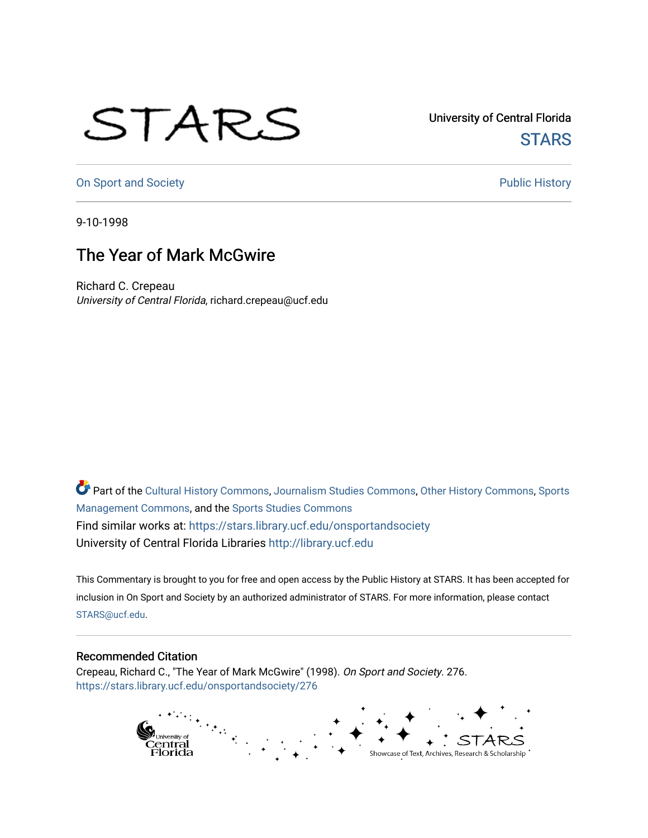## STARS

University of Central Florida **STARS** 

[On Sport and Society](https://stars.library.ucf.edu/onsportandsociety) **Public History** Public History

9-10-1998

## The Year of Mark McGwire

Richard C. Crepeau University of Central Florida, richard.crepeau@ucf.edu

Part of the [Cultural History Commons](http://network.bepress.com/hgg/discipline/496?utm_source=stars.library.ucf.edu%2Fonsportandsociety%2F276&utm_medium=PDF&utm_campaign=PDFCoverPages), [Journalism Studies Commons,](http://network.bepress.com/hgg/discipline/333?utm_source=stars.library.ucf.edu%2Fonsportandsociety%2F276&utm_medium=PDF&utm_campaign=PDFCoverPages) [Other History Commons,](http://network.bepress.com/hgg/discipline/508?utm_source=stars.library.ucf.edu%2Fonsportandsociety%2F276&utm_medium=PDF&utm_campaign=PDFCoverPages) [Sports](http://network.bepress.com/hgg/discipline/1193?utm_source=stars.library.ucf.edu%2Fonsportandsociety%2F276&utm_medium=PDF&utm_campaign=PDFCoverPages) [Management Commons](http://network.bepress.com/hgg/discipline/1193?utm_source=stars.library.ucf.edu%2Fonsportandsociety%2F276&utm_medium=PDF&utm_campaign=PDFCoverPages), and the [Sports Studies Commons](http://network.bepress.com/hgg/discipline/1198?utm_source=stars.library.ucf.edu%2Fonsportandsociety%2F276&utm_medium=PDF&utm_campaign=PDFCoverPages) Find similar works at: <https://stars.library.ucf.edu/onsportandsociety> University of Central Florida Libraries [http://library.ucf.edu](http://library.ucf.edu/) 

This Commentary is brought to you for free and open access by the Public History at STARS. It has been accepted for inclusion in On Sport and Society by an authorized administrator of STARS. For more information, please contact [STARS@ucf.edu](mailto:STARS@ucf.edu).

## Recommended Citation

Crepeau, Richard C., "The Year of Mark McGwire" (1998). On Sport and Society. 276. [https://stars.library.ucf.edu/onsportandsociety/276](https://stars.library.ucf.edu/onsportandsociety/276?utm_source=stars.library.ucf.edu%2Fonsportandsociety%2F276&utm_medium=PDF&utm_campaign=PDFCoverPages)

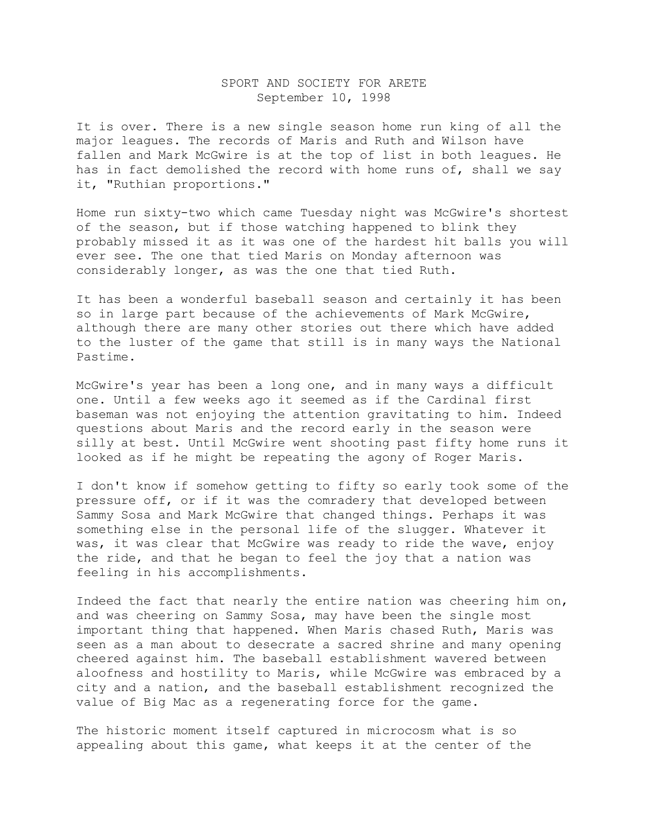## SPORT AND SOCIETY FOR ARETE September 10, 1998

It is over. There is a new single season home run king of all the major leagues. The records of Maris and Ruth and Wilson have fallen and Mark McGwire is at the top of list in both leagues. He has in fact demolished the record with home runs of, shall we say it, "Ruthian proportions."

Home run sixty-two which came Tuesday night was McGwire's shortest of the season, but if those watching happened to blink they probably missed it as it was one of the hardest hit balls you will ever see. The one that tied Maris on Monday afternoon was considerably longer, as was the one that tied Ruth.

It has been a wonderful baseball season and certainly it has been so in large part because of the achievements of Mark McGwire, although there are many other stories out there which have added to the luster of the game that still is in many ways the National Pastime.

McGwire's year has been a long one, and in many ways a difficult one. Until a few weeks ago it seemed as if the Cardinal first baseman was not enjoying the attention gravitating to him. Indeed questions about Maris and the record early in the season were silly at best. Until McGwire went shooting past fifty home runs it looked as if he might be repeating the agony of Roger Maris.

I don't know if somehow getting to fifty so early took some of the pressure off, or if it was the comradery that developed between Sammy Sosa and Mark McGwire that changed things. Perhaps it was something else in the personal life of the slugger. Whatever it was, it was clear that McGwire was ready to ride the wave, enjoy the ride, and that he began to feel the joy that a nation was feeling in his accomplishments.

Indeed the fact that nearly the entire nation was cheering him on, and was cheering on Sammy Sosa, may have been the single most important thing that happened. When Maris chased Ruth, Maris was seen as a man about to desecrate a sacred shrine and many opening cheered against him. The baseball establishment wavered between aloofness and hostility to Maris, while McGwire was embraced by a city and a nation, and the baseball establishment recognized the value of Big Mac as a regenerating force for the game.

The historic moment itself captured in microcosm what is so appealing about this game, what keeps it at the center of the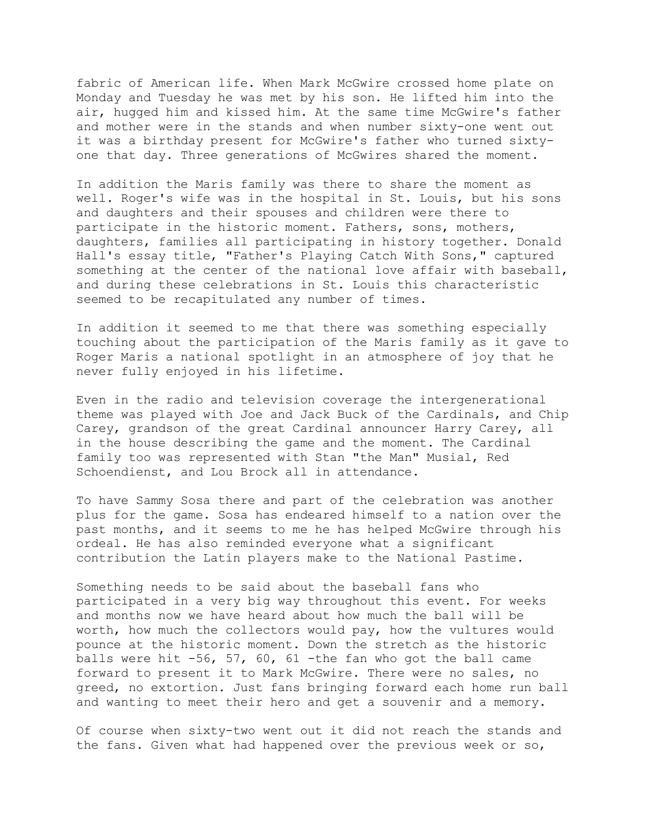fabric of American life. When Mark McGwire crossed home plate on Monday and Tuesday he was met by his son. He lifted him into the air, hugged him and kissed him. At the same time McGwire's father and mother were in the stands and when number sixty-one went out it was a birthday present for McGwire's father who turned sixtyone that day. Three generations of McGwires shared the moment.

In addition the Maris family was there to share the moment as well. Roger's wife was in the hospital in St. Louis, but his sons and daughters and their spouses and children were there to participate in the historic moment. Fathers, sons, mothers, daughters, families all participating in history together. Donald Hall's essay title, "Father's Playing Catch With Sons," captured something at the center of the national love affair with baseball, and during these celebrations in St. Louis this characteristic seemed to be recapitulated any number of times.

In addition it seemed to me that there was something especially touching about the participation of the Maris family as it gave to Roger Maris a national spotlight in an atmosphere of joy that he never fully enjoyed in his lifetime.

Even in the radio and television coverage the intergenerational theme was played with Joe and Jack Buck of the Cardinals, and Chip Carey, grandson of the great Cardinal announcer Harry Carey, all in the house describing the game and the moment. The Cardinal family too was represented with Stan "the Man" Musial, Red Schoendienst, and Lou Brock all in attendance.

To have Sammy Sosa there and part of the celebration was another plus for the game. Sosa has endeared himself to a nation over the past months, and it seems to me he has helped McGwire through his ordeal. He has also reminded everyone what a significant contribution the Latin players make to the National Pastime.

Something needs to be said about the baseball fans who participated in a very big way throughout this event. For weeks and months now we have heard about how much the ball will be worth, how much the collectors would pay, how the vultures would pounce at the historic moment. Down the stretch as the historic balls were hit -56, 57, 60, 61 -the fan who got the ball came forward to present it to Mark McGwire. There were no sales, no greed, no extortion. Just fans bringing forward each home run ball and wanting to meet their hero and get a souvenir and a memory.

Of course when sixty-two went out it did not reach the stands and the fans. Given what had happened over the previous week or so,